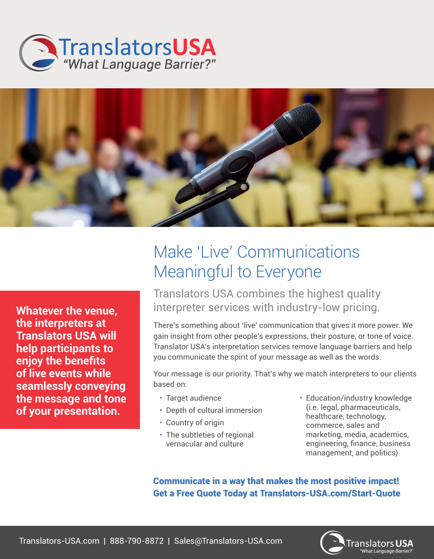



**Whatever the venue, the interpreters at Translators USA will help participants to enjoy the benefits of live events while seamlessly conveying the message and tone of your presentation.** 

## Make 'Live' Communications Meaningful to Everyone

Translators USA combines the highest quality interpreter services with industry-low pricing.

There's something about 'live' communication that gives it more power. We gain insight from other people's expressions, their posture, or tone of voice. Translator USA's interpretation services remove language barriers and help you communicate the spirit of your message as well as the words.

Your message is our priority. That's why we match interpreters to our clients based on:

- Target audience
- Depth of cultural immersion
- Country of origin
- The subtleties of regional vernacular and culture
- Education/industry knowledge (i.e. legal, pharmaceuticals, healthcare, technology, commerce, sales and marketing, media, academics, engineering, finance, business management, and politics)

Communicate in a way that makes the most positive impact! Get a Free Quote Today at Translators-USA.com/Start-Quote